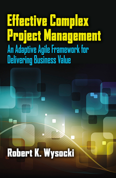# **Effective Complex Project Management** An Adaptive Agile Framework for<br>Delivering Business Value

# **Robert K. Wysocki**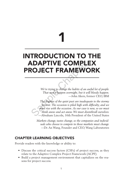# 1

# INTRODUCTION TO THE ADAPTIVE COMPLEX PROJECT FRAMEWORK

*We're trying to change the habits of an awful lot of people. That won't happen overnight, but it will bloody happen.* —John Akers, former CEO, IBM

*The dogmas of the quiet past are inadequate to the stormy present. The occasion is piled high with difficulty, and we must rise with the occasion. As our case is new, so we must think anew and act anew. We must disenthrall ourselves.* —Abraham Lincoln, 16th President of the United States **SOJECT FRAMEW(**<br>
We're trying to change the habits of an a<br>
That won't happen overnight, but it w<br>
The dogmas of the quiet past are inadeq<br>
present. The occasion is piled high with<br>
must rise with the occasion. As our cas

*Markets change, tastes change, so the companies and individuals who choose to compete in those markets must change.* —Dr. An Wang, Founder and CEO, Wang Laboratories

# CHAPTER LEARNING OBJECTIVES

Provide readers with the knowledge or ability to:

- Discuss the critical success factors (CSFs) of project success, as they relate to the Adaptive Complex Project Framework (ACPF).
- Build a project management environment that capitalizes on the reasons for project success.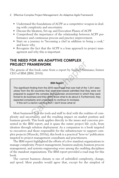- 2 Effective Complex Project Management: An Adaptive Agile Framework
	- Understand the foundations of ACPF as a competitive weapon in dealing with complexity and uncertainty.
	- Discuss the Ideation, Set-up, and Execution Phases of ACPF.
	- Comprehend the importance of the relationship between ACPF performance and continuous process and practice improvement.
	- Start on a journey to "becoming a chef in addition to being a cook," and know why.
	- Recognize the fact that the ACPF is a lean approach to project management and why this is important.

# THE NEED FOR AN ADAPTIVE COMPLEX PROJECT FRAMEWORK

The genesis of this book came from a report by Samuel Palmisano, former CEO of IBM (IBM, 2010):

#### **IBM Report**

The significant finding from the 2010 report was that over half of the 1,541 executives from the 60 countries that were interviewed admitted that they were not prepared to support the complex and uncertain environment in which they were forced to do business and they didn't know what to do about it. Furthermore, they expected complexity and uncertainty to continue to increase. If this isn't a clarion call to action, I don't know what is! EXAMEWORK<br>
IS book came from a report by Samuel Palm<br>
M, 2010):<br>
IBM Report<br>
IBM Report<br>
inding from the 2010 report was that over half of the<br>
60 countries that were interviewed admitted that the<br>
port the complex and unc

Most businesses lack the tools and staff to deal with the realities of complexity and uncertainty, and the resulting impact on market position and business growth. This book applies directly to the issues and concerns presented in the IBM report, and it spans the entire project life cycle, from ideation through solution deployment. As a companion to a book targeted to executives and those responsible for the infrastructure to support complex projects (Wysocki, 2010a), this book is a practical "how-to" publication targeted to project management consultants and practitioners.

The IBM report highlighted the efforts of a few standout organizations to manage complexity. Project management, business analysis, business process management, and systems engineering were among the enabling disciplines of the standout organizations. The IBM report provided a road map for this book.

The current business climate is one of unbridled complexity, change, and speed. Most pundits would agree that, except for the simplest of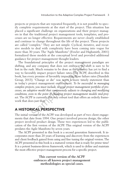projects or projects that are repeated frequently, it is not possible to specify complete requirements at the start of the project. This situation has placed a significant challenge on organizations and their project managers in that the traditional project management tools, templates, and processes are no longer effective. Requirements are never clearly established and continue to change throughout the life of the project. These projects are called "complex." They are not simple. Cyclical, iterative, and recursive models to deal with complexity have been coming into vogue for more than 30 years. The "Agile Manifesto" (Fowler and Highsmith, 2001) formalized these models at the conceptual level and provided additional guidance for project management thought leaders.

The foundational principles of the project management paradigm are shifting, and any company that does not embrace the shift is sure to be lost in the rush. Much remains to be done as the industry has yet to find a way to favorably impact project failure rates. The ACPF, described in this book, has every promise of favorably impacting those failure rates (Standish Group, 2013). "Change or die" was never a more timely statement than in today's project management environment. *To be successful in managing complex projects, you must include, in your project management portfolio of processes, an adaptive model that continuously adjusts to changing and modifying conditions, even to the point of changing project management models mid-project.* The ACPF is currently the only robust tool that offers an orderly framework that does just that. dational principles of the project manageme<br>
any company that does not embrace the sl<br>
ush. Much remains to be done as the industry<br>
ably impact project failure rates. The ACPF,<br>
ery promise of favorably impacting those fa

# A HISTORICAL PERSPECTIVE

The initial version of the ACPF was developed as part of two client engagements that date from 1994. One project involved process design; the other project involved product design. These two experiences led to the publication of the first version of the ACPF. This original version of the ACPF predates the Agile Manifesto by seven years.

The ACPF presented in this book is a second generation framework. It incorporates more than 20 years of learning and discovery from the experiences and client feedback gained from using and fine tuning the original version. The ACPF presented in this book is a matured version that is ready for prime time! It is a potent business-driven framework, which is used to define and maintain the most effective project management process for a specific project.

> **This current version of the ACPF embraces all known project management methodologies as special cases.**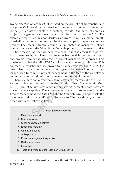#### 4 Effective Complex Project Management: An Adaptive Agile Framework

Every instantiation of the ACPF is based on the project's characteristics, and the project's internal and external environments. To expect a predefined recipe (i.e., an off-the-shelf methodology) to fulfill the needs of complex project management is not realistic and definitely not part of the ACPF. For example, despite Scrum's popularity as a powerful empirical model, an offthe-shelf version of Scrum may not be the best recipe for a specific complex project. The "feeding frenzy" around Scrum abated as managers realized that Scrum was not the "silver bullet" of agile project management practice.

The closest thing that we have to a silver bullet is access to a portfolio of vetted tools, templates, and processes from which the sponsor, client, and project team can jointly create a project management approach. This portfolio is called the "*ACPF/kit*" and it is a major focus of this book. This approach is realistic, and has proven to be very effective. The ACPF/kit is customized and will contain what your organization needs in order to align its approach to complex project management in the face of the complexity and uncertainty that dominates a dynamic business environment.

There is a need for vetted tools, templates, and processes like the ACPF/ kit. According to a statistic from the Standish Group's *Chaos Manifesto* (2013), project failure rates range upwards of 65 percent. Those rates are obviously unacceptable. The same percentage was also reported by the Project Management Institute (2013). The Standish Group Report lists the most recent prioritized CSFs for project success. They are shown, in priority order, within the following box: d the "ACPF/kit" and it is a major focus of the<br>sitic, and has proven to be very effective. The<br>will contain what your organization needs in a<br>complex project management in the face of the<br>that dominates a dynamic business

#### **Critical Success Factors**

- 1. Executive support
- 2. User involvement
- 3. Clear business objectives
- 4. Emotional maturity
- 5. Optimizing scope
- 6. Agile process
- 7. Project management expertise
- 8. Skilled resources
- 9. Execution
- 10. Tools and infrastructure (Standish Group, 2013)

See Chapter 8 for a discussion of how the ACPF directly impacts each of these CSFs.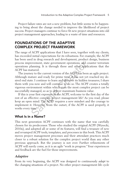Project failure rates are not a new problem, but little seems to be happening to bring about the change needed to improve the likelihood of project success. Project managers continue to force fit new project situations into old project management approaches, leading to a waste of time and resources.

# FOUNDATIONS OF THE ADAPTIVE COMPLEX PROJECT FRAMEWORK

The range of ACPF applications that I have seen, together with my clients, has exceeded initial expectations for its robustness. For example, the ACPF has been used in drug research and development, product design, business process improvement, state government operations, and counter terrorism operations planning. It is through these and other applications that the ACPF has matured.

The journey to the current version of the ACPF has been an agile project. Although mature and ready for prime time, it has not yet reached my desired end state. I continue to learn and discover its hidden treasures; I share them with you now and will continue to do so. The ACPF creates a totally vigorous environment within which even the most complex project can be successfully managed, so as to deliver maximum business value. rovement, state government operations, and c<br>planning. It is through these and other applatured.<br>ey to the current version of the ACPF has been<br>ature and ready for prime time, it has not yet<br>te. I continue to learn and dis

If this is your first exposure to the ACPF, welcome to the first day of the rest of an effective complex project management life! As you read, please keep an open mind. The ACPF requires a new mindset and the courage to implement it. However, from the outset, if the ACPF is used properly, it works every time!

# What Is in a Name?

This next generation ACPF continues with the name that was carefully chosen for its predecessor. Those who studied the original ACPF (Wysocki, 2010a), and adopted all or some of its features, will find a treasure of new and revamped ACPF tools, templates, and processes in this book. This ACPF moves project management processes and their attendant practices much closer to a robust solution for the complex project world than any other previous approach. But the journey is not over. Further refinements of ACPF will surely come, as it is an agile "work in progress." Your experiences and feedback are the fuel for those improvements.

#### *Adaptive*

From its very beginning, the ACPF was designed to continuously *adapt* to the changing situations of a project. No other project management life cycle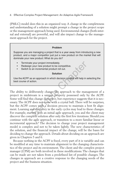#### 6 Effective Complex Project Management: An Adaptive Agile Framework

(PMLC) model does this in an organized way. A change in the completeness and understanding of a solution might prompt a change in the project scope or the management approach being used. Environmental changes (both internal and external) are powerful, and will also impact change to the management approach for the project.

#### **Problem**

Suppose you are managing a project that is a year away from introducing a new product, and a major competitor just put a new product on the market that will dominate your new product. What do you do?

- Terminate your project immediately.
- Redesign your new product to be competitive.
- Switch to an incremental product roll out.

#### **Solution**

Use the ACPF as an approach in which decision models will help in selecting the best course of action.

The ability to deliberately change the approach to the management of a project in midstream is a unique property possessed only by the ACPF. Some will find this change disruptive, but experience suggests that it is necessary. The ACPF does not come with a crystal ball. There will be surprises, but the ACPF comes with a decision process to maintain a best fit alignment. Learning and discovery in the early cycles may lead to these changes. For example, starting with an initial agile approach, you and the client may discover the complete solution after only the first few iterations. Should you continue with the agile approach, or transition to a more familiar linear or incremental approach? The decision to change your project management model is complex and not to be taken lightly. The new characteristics of the solution, and the financial impact of the change, will be the bases for deciding to change the approach. Details about deciding on an approach are given in Chapters 5 and 6. Example of the competitive.<br>
Solution<br>
Sample Chapter Chapter of the competitive.<br>
Solution<br>
Solution<br>
In a an approach in which decision models will help in s<br>
eliberately change the approach to the manaream<br>
is a unique

Because nothing in the ACPF is fixed, every part of it is variable and can be modified at any time to maintain alignment to the changing characteristics of the project and its environment. The client and the complex project manager (CPM) are both involved in these modifications. The changes that can be made are not taken from a predefined list of possible changes. The changes in approach are a creative response to the changing needs of the project and the business situation.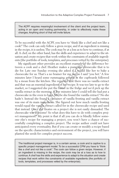The ACPF requires meaningful involvement of the client and the project team, acting in an open and trusting partnership, in order to effectively make these changes. Anything short of that will invite failure.

To be successful with the ACPF, you have to "think like a chef and not like a cook!" The cook can only follow a given recipe, and if an ingredient is missing in the recipe, it is useless. The cook may be at a loss as to how to continue, if at all. A chef, on the other hand, has the skills and experience to adapt to the situation and create recipes that work within the constraints of available ingredients (the portfolio of tools, templates, and processes vetted by the enterprise).

My significant other provides an excellent example of the difference between a cook and a chef. Heather makes a pumpkin cheesecake that is to die for. Late one Sunday evening she asked if I would like her to bake a cheesecake for us. That's a no brainer for me and so I said "you bet." A few minutes later I heard some rummaging around in the cupboards followed by a moan from the kitchen. She reported that there was no vanilla extract and that was an essential ingredient of her recipe. It was too late to go to the market, so I suggested she put the batter in the fridge and we'd pick up the vanilla extract in the morning. A few minutes later I could tell she had put a cheesecake in the oven to bake. Maybe she found the vanilla extract? No she hadn't. Instead she found a container of vanilla frosting and vanilla extract was one of its main ingredients. She figured out how much vanilla frosting would equal the vanilla extract called for in the cheesecake recipe and used that instead. Once she fixates on a project she is not easily dissuaded. The cheesecake was awesome! So what does this have to do with complex project management? My point is that if all you can do is blindly follow someone else's recipe for managing a project, you won't have a chance of successfully completing a complex project. The recipe author could not have anticipated every eventuality. But if you can create or modify a recipe based on the specific characteristics and environment of the project, you will have planted the seeds for complex project success. cant other provides an excellent example of t<br>k and a chef. Heather makes a pumpkin chee<br>one Sunday evening she asked if I would li<br>or us. That's a no brainer for me and so I said<br>r I heard some rummaging around in the cup

The traditional project manager is, in a certain sense, a cook and is captive to a specific project management model. To be a successful CPM you have to "think like a chef and not like a cook". The cook can follow a given recipe. However, if an ingredient is missing in the recipe, the cook may be at a loss as to how to continue. A chef has the skills and experience to adapt to the situation and create recipes that work within the constraints of available ingredients (the portfolio of tools, templates, and processes vetted by the enterprise).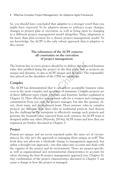So, you should have concluded that *adaptive* is a stronger word than you might have expected. To be adaptive means to embrace scope changes, changes to project plan or execution, as well as being open to changing to a different project management model altogether. Thus, adaptation is far more than plan revision for a chosen project management model. To my knowledge, the ACPF is the only robust approach that is adaptive to this extent.

#### **The robustness of the ACPF removes all constraints on the execution of project management.**

The bottom line in every project should be to deliver the expected business value that justified doing the project in the first place. Just as projects are unique and dynamic, so also is ACPF unique and dynamic! The responsibilities placed on the shoulders of the CPM are significant.

# *Complex*

The ACPF has demonstrated that it can deliver acceptable business value, even in the most complex and uncertain of situations. *Complex* projects are of three different types (Agile, Extreme, and Emertxe; further explained in Chapter 3). Their effective management calls for a creative and courageous commitment from not only the project manager, but also the sponsor, client, client team, and development team. These persons' roles in complex projects are different than their roles in traditional projects. And therein lies the challenge to the enterprise to effectively manage such projects and generate the business value expected from such ventures. An ACPF team is designed unlike any other (Wysocki, 2014a). ACPF teams and how they are organized are further discussed in Chapter 3. in every project should be to deliver the expe<br>ed doing the project in the first place. Just as<br>mic, so also is ACPF unique and dynamic! The<br>ne shoulders of the CPM are significant.<br>lemonstrated that it can deliver accepta

# *Project*

*Projects* are unique and are never repeated under the same set of circumstances. So, why isn't the approach to managing them unique as well? This book does not advocate a wholesale change in management approach, but rather a thought-out approach—one that takes into account and deals with the vagaries of the project and its environment. There are project-specific, as well as organizational and environmental characteristics to account for when choosing the best fit project management approach (see Chapter 5). Any combination of the project characteristics discussed in Chapter 5 can cause a change in how the project is managed.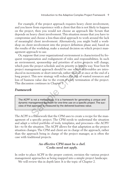For example, if the project approach requires heavy client involvement, and you know from experience with a client that this is not likely to happen on the project, then you would not choose an approach like Scrum that depends on heavy client involvement. This situation means that you have to compromise and choose a less-than-ideal approach to work around the lack of meaningful client involvement. Alternatively, you might build a workshop on client involvement into the project definition phase and, based on the results of the workshop, make a mutual decision on which project management approach to use.

Or, suppose that your organizational environment is characterized by frequent reorganization and realignment of roles and responsibilities. In such an environment, sponsorship and priorities of active projects will change, which puts the project schedule and its priority in harm's way. Your best fit project management approach should be one where deliverables are introduced in increments or short intervals, rather than all at once at the end of a long project. This new strategy will reduce the risk of wasted resources and loss of business value due to the event of early termination of the project. This discussion continues in Chapter 9. ent, sponsorship and priorities of active proj<br>the project schedule and its priority in harm's<br>agement approach should be one where deliverenents or short intervals, rather than all at on<br>This new strategy will reduce the

#### *Framework*

The ACPF is not a methodology. It is a framework for generating a unique and dynamic management approach for one-time use on a specific project. The success of that approach is measured by the delivered business value.

The ACPF is a framework that the CPM uses to create a recipe for the management of a specific project. The CPM needs to understand the situation and adapt a vetted portfolio of tools, templates, and processes—the ACPF/ kit—to fit the situation. The ACPF allows for that adaptation as the project situation changes. The CPM and client are in charge of the approach, rather than the approach being in charge of the project manager, as is often the case with traditional projects.

#### **An effective CPM must be a chef. Cooks need not apply.**

In order to place ACPF in the proper context, envision the various project management approaches as being mapped into a simple project landscape.

We will review this in depth later. It is the topic of Chapter 2.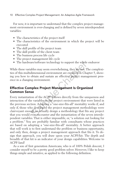#### 10 Effective Complex Project Management: An Adaptive Agile Framework

For now, it is important to understand that the complex project management environment is ever-changing and is defined by seven interdependent variables:

- The characteristics of the project itself
- The characteristics of the environment in which the project will be executed
- The skill profile of the project team
- The skill profile of the client team
- The business process life cycle
- The project management life cycle
- The hardware/software technology to support the whole endeavor

While these variables may seem overwhelming, they are not. The complexities of this multidimensional environment are explored in Chapter 5, showing you how to obtain and sustain an effective project management presence in a changing environment.

# Effective Complex Project Management Is Organized Common Sense

Every instantiation of the ACPF follows directly from the uniqueness and interaction of the variables in the project environment that were listed in the previous section. Adopting a "one-size-fits-all" mentality works if, and only if, those who developed the project management methodology were clairvoyant enough to actually design a methodology that fits any project that you would ever encounter *and* the instantiation of the seven interdependent variables. That is either impossible, or, "a solution out looking for a problem." You are probably familiar with consultants whose practices are based on adopting a "one-size-fits-all" mentality. A better approach that will work is to first understand the problem or business opportunity, and only then, design a project management approach that fits it. To design that approach, you will draw upon your ACPF/kit. The depth and breadth of that kit is an indicator of your design capabilities. Welcome to ACPF-land! are/software technology to support the whole<br>ables may seem overwhelming, they are not. T<br>dimensional environment are explored in Cha<br>obtain and sustain an effective project manag<br>environment.<br>**nplex Project Management Is** 

As a son of first generation Americans, who is of 100% Polish descent, I consider myself to be a pretty good problem solver. However, I like to keep things simple and intuitive, as applied to the following definition.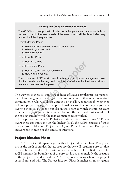## **The Adaptive Complex Project Framework** The *ACPF* is a robust portfolio of vetted tools, templates, and processes that can be customized to the exact needs of the enterprise to efficiently and effectively answer the following questions: Project Ideation Phase 1. What business situation is being addressed? 2. What do you need to do? 3. What will you do? Project Set-Up Phase 4. How will you do it? Project Execution Phase 5. How will you know that you did it? 6. How well did you do? The customized ACPF environment delivers an acceptable management solution that results in achieving maximum business value within the time, cost, and resource constraints of the project.

The answers to these six questions reduces effective complex project management to nothing more than organized common sense. If it were not organized common sense, why would you want to do it at all? A good test of whether or not your project management approach makes sense lies not only in your answers to these six questions, but also in the extent to which the project team uses them. So, *effectiveness* is measured by both the delivered business value of the project and how well the management process worked. will you do it?<br>
ecution Phase<br>
will you know that you did it?<br>
well did you do?<br>
mized ACPF environment delivers an acceptable ma<br>
sults in achieving maximum business value within the<br>
anstraints of the project.<br>
to these

Let's put on our new ACPF hat and take a quick look at how ACPF answers these six questions. At the highest level, the ACPF consists of three phases: Project Ideation, Project Set-Up, and Project Execution. Each phase answers one or more of the same, six questions.

# Project Ideation Phase

The ACPF project life span begins with a Project Ideation Phase. This phase marks the birth of an idea that its proposer hopes will result in a project that delivers business value. The business case is the heart of this first phase. The ACPF extends the boundaries of the project life span to include the creation of the project. To understand the ACPF requires knowing where the project came from, and why. The Project Ideation Phase launches an investigation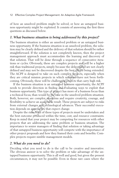of how an unsolved problem might be solved, or how an untapped business opportunity might be exploited. It consists of answering the first three questions as discussed below.

# *1. What business situation is being addressed by this project?*

The business situation is either an unsolved problem or an untapped business opportunity. If the business situation is an unsolved problem, the solution may be clearly defined and the delivery of that solution should be rather straightforward. If the solution is not completely known, then the project management approach must accommodate the learning and discovery of that solution. That will be done through a sequence of consecutive iterations or cycles. Obviously, these are complex projects and will be a higher risk than traditional projects, simply because the deliverables are not clearly defined and may not be discovered despite the best efforts being extended. The ACPF is designed to take on such complex projects, especially when they are critical mission projects in which solutions have not been forthcoming. Obviously, these will be challenging projects that carry high risk.

If the business situation is an untapped business opportunity, the ACPF needs to provide direction in finding and evaluating ways to exploit that business opportunity. This type of project has more of a business focus than a technical focus, than would be the case in the unsolved problem situation. Both, however, are complex situations and require creativity, courage, and flexibility to achieve an acceptable result. These projects are subject to risks from external changes and technological advances. Their successful execution depends on approaches that expect change. Diviously, these are complex projects and wil<br>mal projects, simply because the deliverables a<br>r not be discovered despite the best efforts bei<br>signed to take on such complex projects, esp<br>mission projects in which solution

Despite the risks, both of these types of projects must be undertaken and the best outcome produced within the time, cost, and resource constraints. Keep in mind that your project may be competing for resources with other projects that are addressing the same problem or business situation. The importance to senior managers of finding that solution or taking advantage of that untapped business opportunity will compete with the importance of other project proposals and how they framed their costs and benefits. Complex projects require nimble management models.

## *2. What do you need to do?*

Deciding what you need to do is the call to be creative and innovative. The obvious answer is to solve the problem or take advantage of the untapped business opportunity. This is all well and good, but given the present circumstances, it may not be possible. Even in those rare cases where the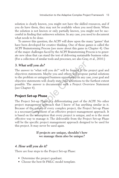solution is clearly known, you might not have the skilled resources, and if you do have them, they may not be available when you need them. When the solution is not known or only partially known, you might not be successful in finding that unknown solution. In any case, you need to document what needs to be done.

To answer this question, the ACPF will draw upon the many "games" that have been developed for creative thinking. One of those games is called the ACPF Brainstorming Process (see more about this game in Chapter 4). One of the major challenges faced by the ACPF Brainstorming Process is to generate new ideas that can stand the test of delivering sustainable business value. (For a collection of similar tools and processes, see also Gray, et al., 2010.)

#### *3. What will you do?*

The answer to "what will you do?" will be framed in the project goal and objectives statements. Maybe you and others will propose partial solutions to the problem or untapped business opportunity. In any case, your goal and objective statements will clearly state your intentions to the furthest extent possible. The answer is documented with a Project Overview Statement (see Chapter 4). **Il you do?**<br>
to "what will you do?" will be framed in the<br>
atements. Maybe you and others will propose<br>
em or untapped business opportunity. In any ca<br>
tements will clearly state your intentions to the<br>
answer is document

# Project Set-up Phase

The Project Set-up Phase is a differentiating part of the ACPF. No other project management approach that I know of has anything similar in it. Because of the nature of every complex project, the Project Set-up Phase is a necessary component of an effective project management approach. It is based on the assumption that every project is unique, and so is the most effective way to manage it. The deliverable from the Project Set-up Phase will be the specific project management approach designed to be used for this project. It may never be used again.

#### **If projects are unique, shouldn't how we manage them also be unique?**

#### *4. How will you do it?*

There are four steps to the Project Set-up Phase:

- Determine the project quadrant.
- Choose the best fit PMLC model template.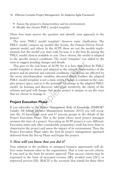- Assess the project's characteristics and its environment.
- Modify the chosen PMLC model template.

These four steps answer the question and identify your approach to the project.

The term "PMLC model template" deserves some clarification. The PMLC model conjures up models like Scrum, the Feature-Driven Development model, and others. In the ACPF, these are not the models implemented, but the model you start with because it is the best fit among the PMLC model choices available to you. Once chosen, the model is adapted to the specific project conditions. The word "template" was added to the term to suggest pending changes and details.

This goes to the real heart of ACPF, for it is here that a best fit PMLC model template is chosen and adapted to the unique characteristics of the project and its internal and external conditions. Conditions are affected by the seven interdependent variables, discussed above. Further, the adapted PMLC model template is not a static entity. Change is constant in the complex project space, and so is the potential for change in the adapted PMLC model. As learning and discovery take place iteratively, the clarity of the solution and goal will change. Just as the project is unique, so are the ways that we choose to manage it. bending changes and details.<br>
the real heart of ACPF, for it is here that a botal is chosen and adapted to the unique characte<br>
termal and external conditions. Conditions are rependent variables, discussed above. Further,<br>

# Project Execution Phase

If you subscribe to the *Project Management Body of Knowledge (PMBOK® Guide)*, *5th Edition* (Project Management Institute, 2013) you will recognize the 10 knowledge areas and 47 process groups in the details of the Project Execution Phase. This is the point where most project managers envision the start of a project. Executing an ACPF project is very different. Execution starts only after considerable preparatory work has been done to characterize the project and assess the impact of its environment. Thus, the Project Execution Phase takes the best fit project management approach delivered from the Set-up Phase and begins the project.

## *5. How will you know that you did it?*

Your solution to the problem or untapped business opportunity will deliver some business value to the organization. That is your success criteria. It was used as the basis for project approval. That success criteria may be expressed in the form of increased revenue (IR), avoided costs (AC), or improved services (IS). *IRACIS* is the acronym that stands for these three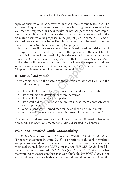types of business value. Whatever form that success criteria takes, it will be expressed in quantitative terms so that there is no argument as to whether you met the expected business results, or not. As part of the post-implementation audit, you will compare the actual business value realized to the estimated business value proposed in the project plan. In some PMLC models, business value might be realized in increments and be used as performance measures to validate continuing the project.

No one knows if business value will be achieved based on satisfaction of the requirements. This is the province of the sponsor and the client to validate. It is in the realm of possibility that the search for the unknown solution will not be as successful as expected. All that the project team can state is that they will do everything possible to achieve the expected business value. It should be clear here that meaningful client involvement is essential. Chapter 7 discusses client involvement in detail. will do everything possible to achieve the end be clear here that meaningful client involves<br>iscusses client involvement in detail.<br>**Il did you do?**<br>x parts to the answer to the question of how<br>a complex project:<br>ell did y

# *6. How well did you do?*

There are six parts to the answer to the question of how well you and the team did on a complex project:

- How well did your deliverables meet the stated success criteria?
- How well did the development team perform?
- How well did the client team perform?
- How well did the ACPF and the project management approach work for this project?
- What lessons were learned that can be applied to future projects?
- What requirements can be further improved in the next version?

The answers to these questions are all part of the ACPF post-implementation audit. The post-implementation audit is discussed in Chapter 6.

# ACPF and *PMBOK*® *Guide* Compatibility

The *Project Management Body of Knowledge (PMBOK® Guide), 5th Edition* (Project Management Institute, 2013), is a portfolio of the tools, templates, and processes that should be included in every effective project management methodology, including the ACPF. Similarly, the *PMBOK*® *Guide* should be included in every organization's ACPF/kit (see Chapter 3). Contrary to what many project managers and their managers think, the *PMBOK*® *Guide* is not a methodology. It does a fairly complete and thorough job of describing the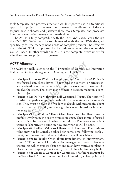tools, templates, and processes that one would expect to use in a traditional approach to project management, but it leaves to the discretion of the enterprise how it chooses and packages those tools, templates, and processes into their own project management methodology.

The ACPF is fully compatible with the *PMBOK*® *Guide,* even though the *PMBOK*® *Guide* must be supplemented with the ACPF/kit designed specifically for the management needs of complex projects. The effective use of the ACPF/kit is supported by the business rules and decision models you will need. In other words, the ACPF is the complete environment for effective complex project management.

# ACPF Alignment

The ACPF is totally aligned to the 7 Principles of Continuous Innovation that define Radical Management (Denning, 2011), which are:

- **Principle #1: Focus Work on Delighting the Client.** The ACPF is client-focused and client-driven. That means the content, prioritization, and evaluation of the deliverables from the work must meaningfully involve the client. The client is the principle decision maker in a complex project. **ent**<br>cally aligned to the 7 Principles of Continuot<br>cal Management (Denning, 2011), which are:<br>1: Focus Work on Delighting the Client. The<br>l and client-driven. That means the content, p<br>tion of the deliverables from the w
- **Principle #2: Do Work through Self-Organized Teams.** The team will consist of experienced professionals who can operate without supervision. They must be given the freedom to decide with meaningful client participation what to do, and through their own discussions how and when to do it.
- **Principle #3: Do Work in Client-Driven Iterations.** The client is meaningfully involved in the entire project life span. Their input is focused on what is to be done and in what order priority. The project and client teams collaboratively decide on how and when it will be done.
- **Principle #4: Deliver Value to Clients Each Iteration.** The business value may not be actually realized for some time following deployment, but the eventual delivery of that value will be achieved.
- **Principle #5: Be Totally Open about Impediments to Improvement.** Every ACPF effort will include a risk management program because the project will encounter obstacles and must have mitigation plans in place. In the complex project world, risk of failure is often very high.
- **Principle #6: Create a Context for Continuous Self-Improvement by the Team Itself.** At the completion of each iteration, a checkpoint will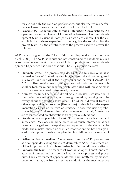review not only the solution performance, but also the team's performance. Lessons learned is a critical part of that checkpoint.

• **Principle #7: Communicate through Interactive Conversations.** An open and honest exchange of information between client and development team is essential. Both parties play a critical role. For the client, it is the business expertise that helps guide the solution. For the project team, it is the effectiveness of the process used to discover the solution.

ACPF is also aligned to the 7 Lean Principles (Poppendieck and Poppendieck, 2003). The ACPF is robust and not constrained to any domain, such as software development. It works well in both product and process development. Experience has borne that out. The 7 Lean Principles are:

- **Eliminate waste.** If a process step does not add business value, it is defined as "waste." Something that is laying around and not being used is a waste. Find out what the client wants and deliver it ASAP. The ACPF utilizes just-in-time planning as one tool, and colocated teams is another tool, for minimizing the waste associated with creating plans that are never executed or frequently changed.
- **Amplify learning.** The ACPF, like all agile processes, uses iteration in the project execution phase, and through iteration, learning and discovery about the solution takes place. The ACPF is different from all other empirical agile processes (like Scrum) in that it includes experimentation as part of its iteration strategy. It does this using "probative swim lanes," whereas other agile processes utilize only "integrative swim lanes" based on observations from previous iterations. development. It works well in both product and<br>perience has borne that out. The 7 Lean Princi<br>ite waste. If a process step does not add bu:<br>las "waste." Something that is laying around ar<br>ste. Find out what the client want
- **Decide as late as possible.** The ACPF processes create learning and knowledge. Decisions should be based on as much information as can reasonably be gathered. Keep all options open until a decision must be made. Then, make it based on as much information that has been gathered to that point. Just-in-time planning is a defining characteristic of ACPF.
- **Deliver as fast as possible.** Clients learn from the ACPF process just as developers do. Giving the client deliverables ASAP gives them additional input on which to base further learning and discovery efforts.
- **Empower the team.** The team must work in an open, honest, and creative environment and not be shackled by heavy process and procedure. Their environment appears informal and unfettered by management constraints, but from a creative standpoint is the most effective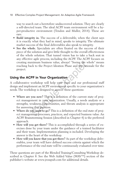way to search out a heretofore undiscovered solution. They are clearly a self-directed team. The ideal ACPF team environment will be a hyper-productive environment (Tendon and Muller, 2014). These are rare.

- **Build integrity in.** The success of a deliverable, when the client says it is exactly what they had in mind, speaks to integrity. The ultimate market success of the final deliverables also speak to integrity.
- **See the whole.** Specialists are often fixated on the success of their piece of the solution and give little thought to the overall effectiveness of the whole solution. That tunnel vision has to take a back seat in any effective agile process, including the ACPF. The ACPF focuses on creating maximum business value, always! "Seeing the whole" means reaching back to the Project Ideation Phase and the rationale for the project.

# Using the ACPF in Your Organization

A collaborative workshop will help your team and our professional staff design and implement an ACPF environment specific to your organization's needs. The workshop is designed to answer these questions:

- **Where are you now?** This is a definition of the current state of project management in your organization. Usually, a needs analysis or a strengths, weakness, opportunities, and threats analysis is appropriate for answering this question. aximum business value, always! "Seeing the v<br>nck to the Project Ideation Phase and the ration<br>**PF in Your Organization**<br>workshop will help your team and our prof<br>ement an ACPF environment specific to your c<br>shop is designe
- **Where do you want to go?** This is a definition of the end state of project management processes, practices, and expected business value. An ACPF Brainstorming Session (described in Chapter 4) is the preferred approach.
- **How will you get there?** This is accomplished through a series of exercises done by your team under the guidance of a trained facilitator and their team. Implementation planning is included. Developing the answer is the heart of the workshop.
- **How will you know that you got there?** As part of the workshop deliverables, your team will have defined success criteria against which the performance of the end state will be continuously evaluated over time.

These questions are part of the Blended Training/Consulting Workshop described in Chapter 8. See the Web Added Value (WAVTM) section of the publisher's website at www.jrosspub.com for additional details.